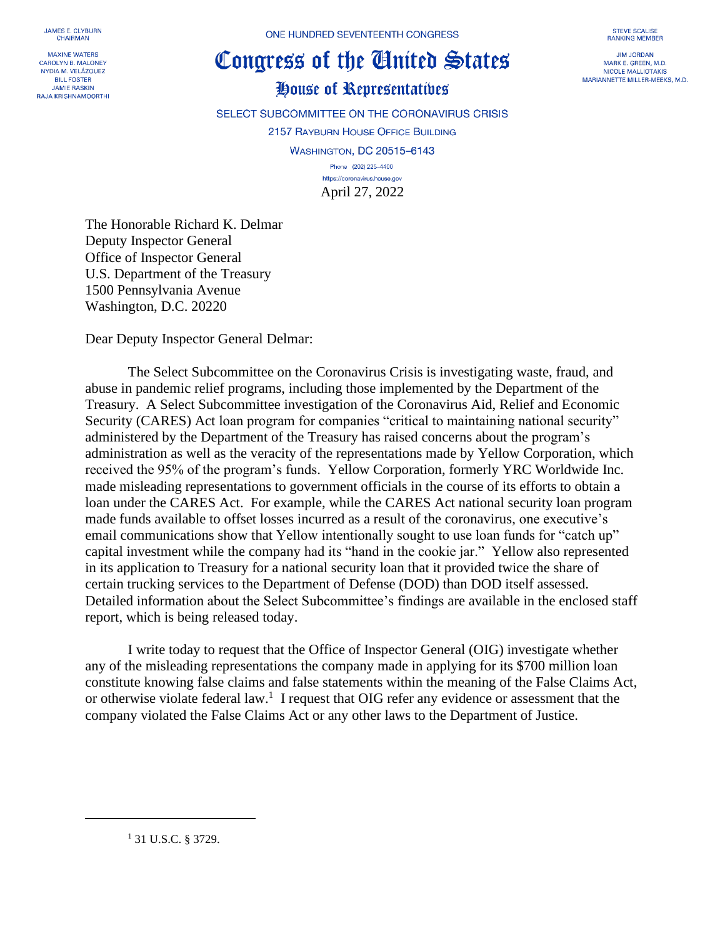JAMES E. CLYBURN **CHAIRMAN** 

**MAXINE WATERS CAROLYN B. MALONEY** NYDIA M. VELÁZOUEZ **BILL FOSTER JAMIE RASKIN RAJA KRISHNAMOORTHI**  ONE HUNDRED SEVENTEENTH CONGRESS

## Congress of the Ginited States

## House of Representatives

SELECT SUBCOMMITTEE ON THE CORONAVIRUS CRISIS

2157 RAYBURN HOUSE OFFICE BUILDING

**WASHINGTON, DC 20515-6143** Phone (202) 225-4400 https://coronavirus.house.gov

April 27, 2022

The Honorable Richard K. Delmar Deputy Inspector General Office of Inspector General U.S. Department of the Treasury 1500 Pennsylvania Avenue Washington, D.C. 20220

Dear Deputy Inspector General Delmar:

The Select Subcommittee on the Coronavirus Crisis is investigating waste, fraud, and abuse in pandemic relief programs, including those implemented by the Department of the Treasury. A Select Subcommittee investigation of the Coronavirus Aid, Relief and Economic Security (CARES) Act loan program for companies "critical to maintaining national security" administered by the Department of the Treasury has raised concerns about the program's administration as well as the veracity of the representations made by Yellow Corporation, which received the 95% of the program's funds. Yellow Corporation, formerly YRC Worldwide Inc. made misleading representations to government officials in the course of its efforts to obtain a loan under the CARES Act. For example, while the CARES Act national security loan program made funds available to offset losses incurred as a result of the coronavirus, one executive's email communications show that Yellow intentionally sought to use loan funds for "catch up" capital investment while the company had its "hand in the cookie jar." Yellow also represented in its application to Treasury for a national security loan that it provided twice the share of certain trucking services to the Department of Defense (DOD) than DOD itself assessed. Detailed information about the Select Subcommittee's findings are available in the enclosed staff report, which is being released today.

I write today to request that the Office of Inspector General (OIG) investigate whether any of the misleading representations the company made in applying for its \$700 million loan constitute knowing false claims and false statements within the meaning of the False Claims Act, or otherwise violate federal law.<sup>1</sup> I request that OIG refer any evidence or assessment that the company violated the False Claims Act or any other laws to the Department of Justice.

**STEVE SCALISE** RANKING MEMBER

**JIM JORDAN** MARK E. GREEN, M.D. NICOLE MALLIOTAKIS MARIANNETTE MILLER-MEEKS, M.D.

<sup>1</sup> 31 U.S.C. § 3729.